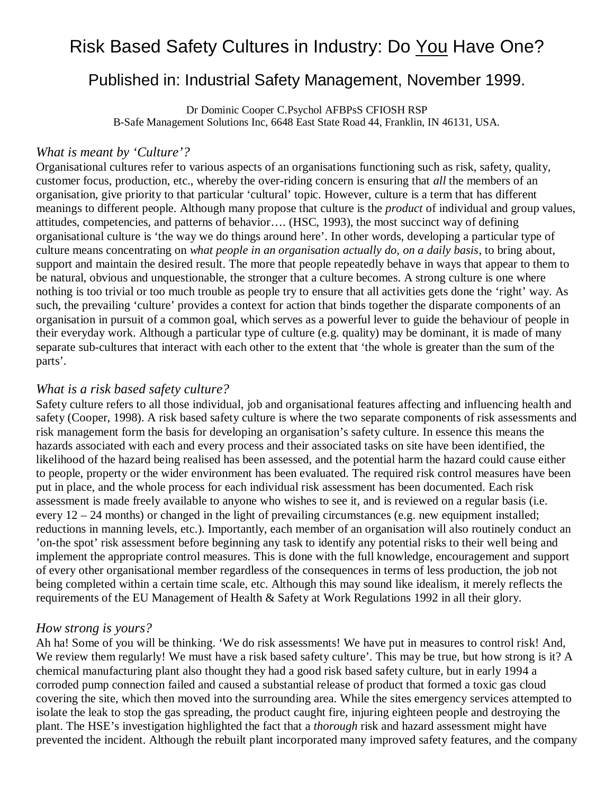# Risk Based Safety Cultures in Industry: Do You Have One?

# Published in: Industrial Safety Management, November 1999.

Dr Dominic Cooper C.Psychol AFBPsS CFIOSH RSP B-Safe Management Solutions Inc, 6648 East State Road 44, Franklin, IN 46131, USA.

#### *What is meant by 'Culture'?*

Organisational cultures refer to various aspects of an organisations functioning such as risk, safety, quality, customer focus, production, etc., whereby the over-riding concern is ensuring that *all* the members of an organisation, give priority to that particular 'cultural' topic. However, culture is a term that has different meanings to different people. Although many propose that culture is the *product* of individual and group values, attitudes, competencies, and patterns of behavior…. (HSC, 1993), the most succinct way of defining organisational culture is 'the way we do things around here'. In other words, developing a particular type of culture means concentrating on *what people in an organisation actually do, on a daily basis*, to bring about, support and maintain the desired result. The more that people repeatedly behave in ways that appear to them to be natural, obvious and unquestionable, the stronger that a culture becomes. A strong culture is one where nothing is too trivial or too much trouble as people try to ensure that all activities gets done the 'right' way. As such, the prevailing 'culture' provides a context for action that binds together the disparate components of an organisation in pursuit of a common goal, which serves as a powerful lever to guide the behaviour of people in their everyday work. Although a particular type of culture (e.g. quality) may be dominant, it is made of many separate sub-cultures that interact with each other to the extent that 'the whole is greater than the sum of the parts'.

#### *What is a risk based safety culture?*

Safety culture refers to all those individual, job and organisational features affecting and influencing health and safety (Cooper, 1998). A risk based safety culture is where the two separate components of risk assessments and risk management form the basis for developing an organisation's safety culture. In essence this means the hazards associated with each and every process and their associated tasks on site have been identified, the likelihood of the hazard being realised has been assessed, and the potential harm the hazard could cause either to people, property or the wider environment has been evaluated. The required risk control measures have been put in place, and the whole process for each individual risk assessment has been documented. Each risk assessment is made freely available to anyone who wishes to see it, and is reviewed on a regular basis (i.e. every 12 – 24 months) or changed in the light of prevailing circumstances (e.g. new equipment installed; reductions in manning levels, etc.). Importantly, each member of an organisation will also routinely conduct an 'on-the spot' risk assessment before beginning any task to identify any potential risks to their well being and implement the appropriate control measures. This is done with the full knowledge, encouragement and support of every other organisational member regardless of the consequences in terms of less production, the job not being completed within a certain time scale, etc. Although this may sound like idealism, it merely reflects the requirements of the EU Management of Health & Safety at Work Regulations 1992 in all their glory.

#### *How strong is yours?*

Ah ha! Some of you will be thinking. 'We do risk assessments! We have put in measures to control risk! And, We review them regularly! We must have a risk based safety culture'. This may be true, but how strong is it? A chemical manufacturing plant also thought they had a good risk based safety culture, but in early 1994 a corroded pump connection failed and caused a substantial release of product that formed a toxic gas cloud covering the site, which then moved into the surrounding area. While the sites emergency services attempted to isolate the leak to stop the gas spreading, the product caught fire, injuring eighteen people and destroying the plant. The HSE's investigation highlighted the fact that a *thorough* risk and hazard assessment might have prevented the incident. Although the rebuilt plant incorporated many improved safety features, and the company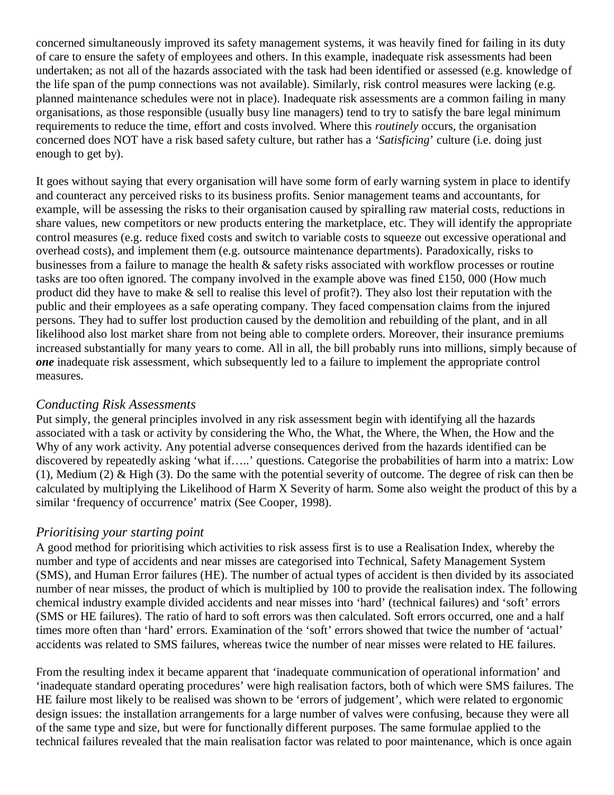concerned simultaneously improved its safety management systems, it was heavily fined for failing in its duty of care to ensure the safety of employees and others. In this example, inadequate risk assessments had been undertaken; as not all of the hazards associated with the task had been identified or assessed (e.g. knowledge of the life span of the pump connections was not available). Similarly, risk control measures were lacking (e.g. planned maintenance schedules were not in place). Inadequate risk assessments are a common failing in many organisations, as those responsible (usually busy line managers) tend to try to satisfy the bare legal minimum requirements to reduce the time, effort and costs involved. Where this *routinely* occurs, the organisation concerned does NOT have a risk based safety culture, but rather has a *'Satisficing*' culture (i.e. doing just enough to get by).

It goes without saying that every organisation will have some form of early warning system in place to identify and counteract any perceived risks to its business profits. Senior management teams and accountants, for example, will be assessing the risks to their organisation caused by spiralling raw material costs, reductions in share values, new competitors or new products entering the marketplace, etc. They will identify the appropriate control measures (e.g. reduce fixed costs and switch to variable costs to squeeze out excessive operational and overhead costs), and implement them (e.g. outsource maintenance departments). Paradoxically, risks to businesses from a failure to manage the health & safety risks associated with workflow processes or routine tasks are too often ignored. The company involved in the example above was fined £150, 000 (How much product did they have to make & sell to realise this level of profit?). They also lost their reputation with the public and their employees as a safe operating company. They faced compensation claims from the injured persons. They had to suffer lost production caused by the demolition and rebuilding of the plant, and in all likelihood also lost market share from not being able to complete orders. Moreover, their insurance premiums increased substantially for many years to come. All in all, the bill probably runs into millions, simply because of *one* inadequate risk assessment, which subsequently led to a failure to implement the appropriate control measures.

#### *Conducting Risk Assessments*

Put simply, the general principles involved in any risk assessment begin with identifying all the hazards associated with a task or activity by considering the Who, the What, the Where, the When, the How and the Why of any work activity. Any potential adverse consequences derived from the hazards identified can be discovered by repeatedly asking 'what if…..' questions. Categorise the probabilities of harm into a matrix: Low (1), Medium (2) & High (3). Do the same with the potential severity of outcome. The degree of risk can then be calculated by multiplying the Likelihood of Harm X Severity of harm. Some also weight the product of this by a similar 'frequency of occurrence' matrix (See Cooper, 1998).

# *Prioritising your starting point*

A good method for prioritising which activities to risk assess first is to use a Realisation Index, whereby the number and type of accidents and near misses are categorised into Technical, Safety Management System (SMS), and Human Error failures (HE). The number of actual types of accident is then divided by its associated number of near misses, the product of which is multiplied by 100 to provide the realisation index. The following chemical industry example divided accidents and near misses into 'hard' (technical failures) and 'soft' errors (SMS or HE failures). The ratio of hard to soft errors was then calculated. Soft errors occurred, one and a half times more often than 'hard' errors. Examination of the 'soft' errors showed that twice the number of 'actual' accidents was related to SMS failures, whereas twice the number of near misses were related to HE failures.

From the resulting index it became apparent that 'inadequate communication of operational information' and 'inadequate standard operating procedures' were high realisation factors, both of which were SMS failures. The HE failure most likely to be realised was shown to be 'errors of judgement', which were related to ergonomic design issues: the installation arrangements for a large number of valves were confusing, because they were all of the same type and size, but were for functionally different purposes. The same formulae applied to the technical failures revealed that the main realisation factor was related to poor maintenance, which is once again